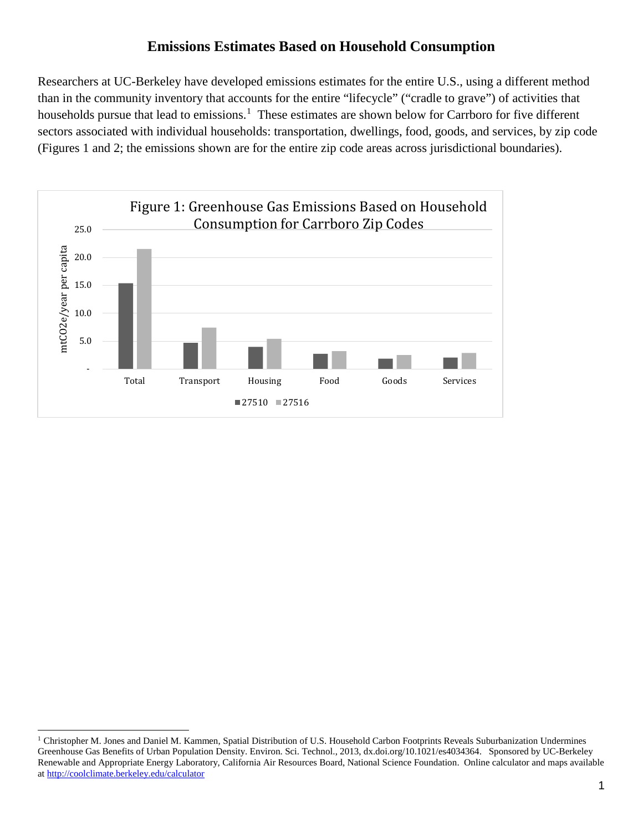## **Emissions Estimates Based on Household Consumption**

Researchers at UC-Berkeley have developed emissions estimates for the entire U.S., using a different method than in the community inventory that accounts for the entire "lifecycle" ("cradle to grave") of activities that households pursue that lead to emissions.<sup>[1](#page-0-0)</sup> These estimates are shown below for Carrboro for five different sectors associated with individual households: transportation, dwellings, food, goods, and services, by zip code (Figures 1 and 2; the emissions shown are for the entire zip code areas across jurisdictional boundaries).



<span id="page-0-0"></span> $\ddot{\phantom{a}}$ <sup>1</sup> Christopher M. Jones and Daniel M. Kammen, Spatial Distribution of U.S. Household Carbon Footprints Reveals Suburbanization Undermines Greenhouse Gas Benefits of Urban Population Density. Environ. Sci. Technol., 2013, dx.doi.org/10.1021/es4034364. Sponsored by UC-Berkeley Renewable and Appropriate Energy Laboratory, California Air Resources Board, National Science Foundation. Online calculator and maps available a[t http://coolclimate.berkeley.edu/calculator](http://coolclimate.berkeley.edu/calculator)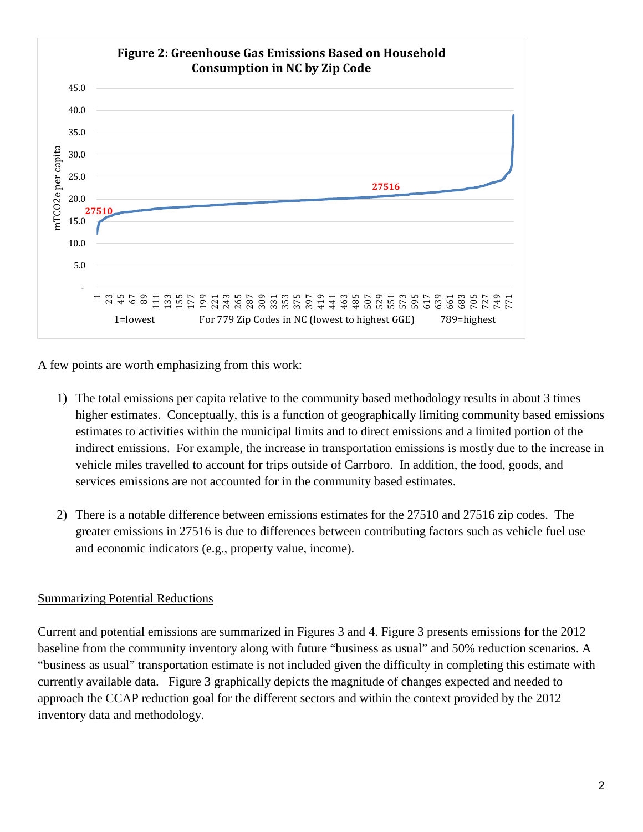

A few points are worth emphasizing from this work:

- 1) The total emissions per capita relative to the community based methodology results in about 3 times higher estimates. Conceptually, this is a function of geographically limiting community based emissions estimates to activities within the municipal limits and to direct emissions and a limited portion of the indirect emissions. For example, the increase in transportation emissions is mostly due to the increase in vehicle miles travelled to account for trips outside of Carrboro. In addition, the food, goods, and services emissions are not accounted for in the community based estimates.
- 2) There is a notable difference between emissions estimates for the 27510 and 27516 zip codes. The greater emissions in 27516 is due to differences between contributing factors such as vehicle fuel use and economic indicators (e.g., property value, income).

## Summarizing Potential Reductions

Current and potential emissions are summarized in Figures 3 and 4. Figure 3 presents emissions for the 2012 baseline from the community inventory along with future "business as usual" and 50% reduction scenarios. A "business as usual" transportation estimate is not included given the difficulty in completing this estimate with currently available data. Figure 3 graphically depicts the magnitude of changes expected and needed to approach the CCAP reduction goal for the different sectors and within the context provided by the 2012 inventory data and methodology.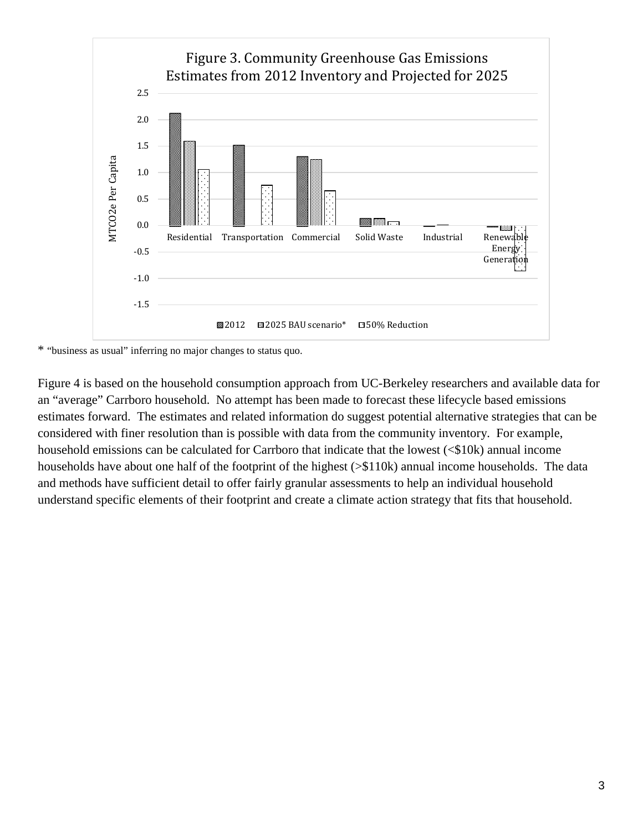

\* "business as usual" inferring no major changes to status quo.

Figure 4 is based on the household consumption approach from UC-Berkeley researchers and available data for an "average" Carrboro household. No attempt has been made to forecast these lifecycle based emissions estimates forward. The estimates and related information do suggest potential alternative strategies that can be considered with finer resolution than is possible with data from the community inventory. For example, household emissions can be calculated for Carrboro that indicate that the lowest (<\$10k) annual income households have about one half of the footprint of the highest (>\$110k) annual income households. The data and methods have sufficient detail to offer fairly granular assessments to help an individual household understand specific elements of their footprint and create a climate action strategy that fits that household.